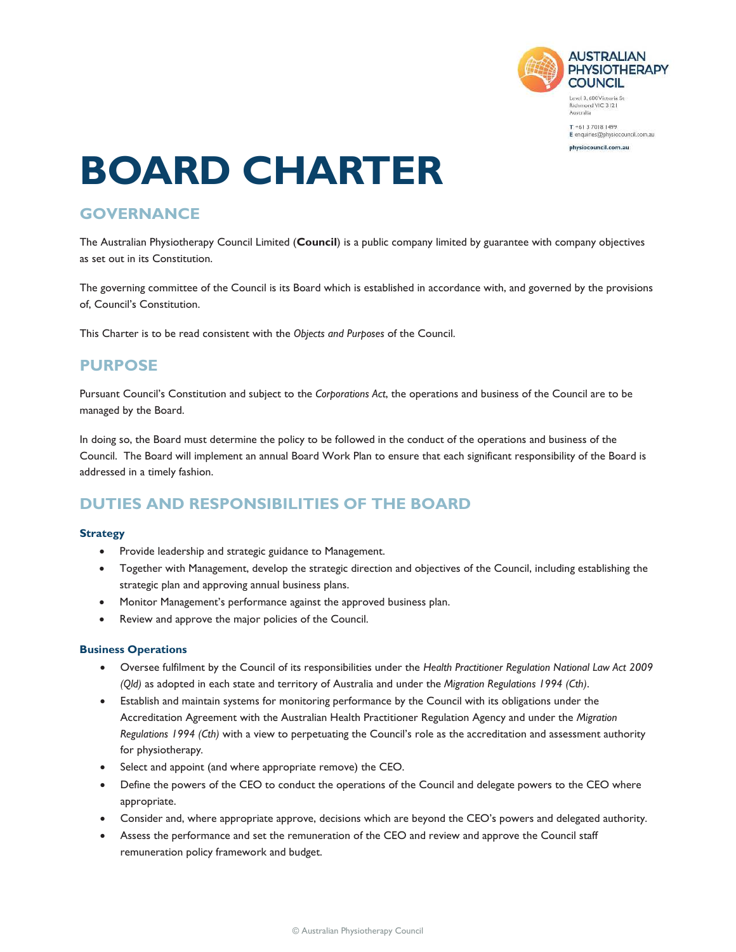

 $T + 61370181499$ E enquiries@physiocouncil.com.au

physiocouncil.com.au

# **BOARD CHARTER**

# **GOVERNANCE**

The Australian Physiotherapy Council Limited (**Council**) is a public company limited by guarantee with company objectives as set out in its Constitution.

The governing committee of the Council is its Board which is established in accordance with, and governed by the provisions of, Council's Constitution.

This Charter is to be read consistent with the *Objects and Purposes* of the Council.

# **PURPOSE**

Pursuant Council's Constitution and subject to the *Corporations Act*, the operations and business of the Council are to be managed by the Board.

In doing so, the Board must determine the policy to be followed in the conduct of the operations and business of the Council. The Board will implement an annual Board Work Plan to ensure that each significant responsibility of the Board is addressed in a timely fashion.

# **DUTIES AND RESPONSIBILITIES OF THE BOARD**

#### **Strategy**

- Provide leadership and strategic guidance to Management.
- Together with Management, develop the strategic direction and objectives of the Council, including establishing the strategic plan and approving annual business plans.
- Monitor Management's performance against the approved business plan.
- Review and approve the major policies of the Council.

#### **Business Operations**

- x Oversee fulfilment by the Council of its responsibilities under the *Health Practitioner Regulation National Law Act 2009 (Qld)* as adopted in each state and territory of Australia and under the *Migration Regulations 1994 (Cth)*.
- Establish and maintain systems for monitoring performance by the Council with its obligations under the Accreditation Agreement with the Australian Health Practitioner Regulation Agency and under the *Migration Regulations 1994 (Cth)* with a view to perpetuating the Council's role as the accreditation and assessment authority for physiotherapy*.*
- Select and appoint (and where appropriate remove) the CEO.
- Define the powers of the CEO to conduct the operations of the Council and delegate powers to the CEO where appropriate.
- Consider and, where appropriate approve, decisions which are beyond the CEO's powers and delegated authority.
- Assess the performance and set the remuneration of the CEO and review and approve the Council staff remuneration policy framework and budget.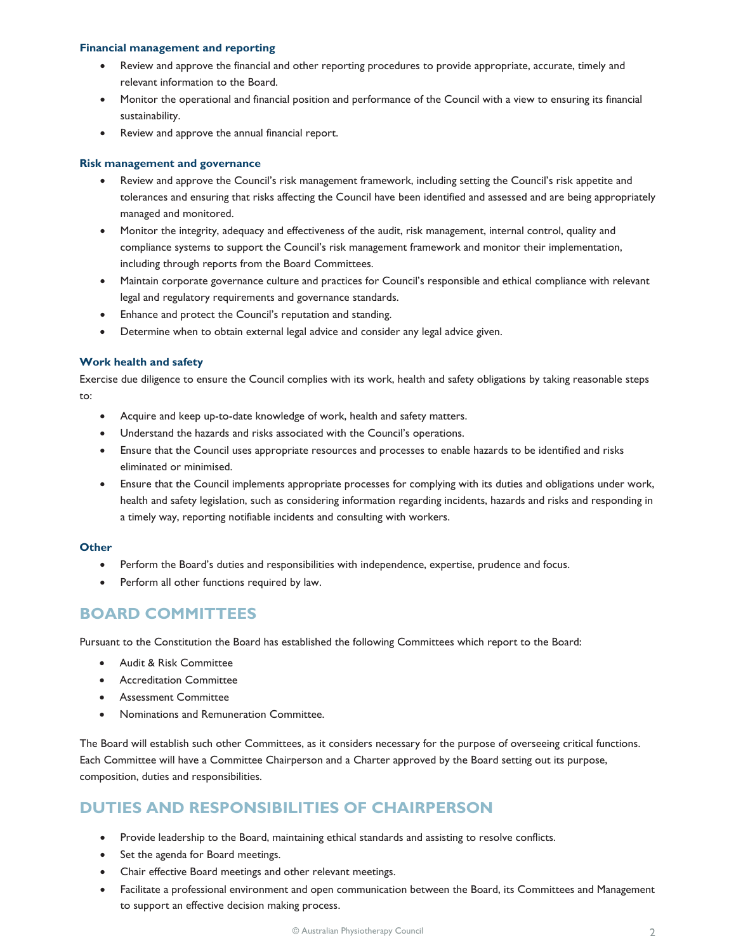#### **Financial management and reporting**

- Review and approve the financial and other reporting procedures to provide appropriate, accurate, timely and relevant information to the Board.
- Monitor the operational and financial position and performance of the Council with a view to ensuring its financial sustainability.
- Review and approve the annual financial report.

#### **Risk management and governance**

- Review and approve the Council's risk management framework, including setting the Council's risk appetite and tolerances and ensuring that risks affecting the Council have been identified and assessed and are being appropriately managed and monitored.
- Monitor the integrity, adequacy and effectiveness of the audit, risk management, internal control, quality and compliance systems to support the Council's risk management framework and monitor their implementation, including through reports from the Board Committees.
- Maintain corporate governance culture and practices for Council's responsible and ethical compliance with relevant legal and regulatory requirements and governance standards.
- Enhance and protect the Council's reputation and standing.
- Determine when to obtain external legal advice and consider any legal advice given.

#### **Work health and safety**

Exercise due diligence to ensure the Council complies with its work, health and safety obligations by taking reasonable steps to:

- Acquire and keep up-to-date knowledge of work, health and safety matters.
- Understand the hazards and risks associated with the Council's operations.
- Ensure that the Council uses appropriate resources and processes to enable hazards to be identified and risks eliminated or minimised.
- Ensure that the Council implements appropriate processes for complying with its duties and obligations under work, health and safety legislation, such as considering information regarding incidents, hazards and risks and responding in a timely way, reporting notifiable incidents and consulting with workers.

#### **Other**

- Perform the Board's duties and responsibilities with independence, expertise, prudence and focus.
- Perform all other functions required by law.

## **BOARD COMMITTEES**

Pursuant to the Constitution the Board has established the following Committees which report to the Board:

- Audit & Risk Committee
- Accreditation Committee
- Assessment Committee
- Nominations and Remuneration Committee.

The Board will establish such other Committees, as it considers necessary for the purpose of overseeing critical functions. Each Committee will have a Committee Chairperson and a Charter approved by the Board setting out its purpose, composition, duties and responsibilities.

# **DUTIES AND RESPONSIBILITIES OF CHAIRPERSON**

- Provide leadership to the Board, maintaining ethical standards and assisting to resolve conflicts.
- Set the agenda for Board meetings.
- Chair effective Board meetings and other relevant meetings.
- Facilitate a professional environment and open communication between the Board, its Committees and Management to support an effective decision making process.